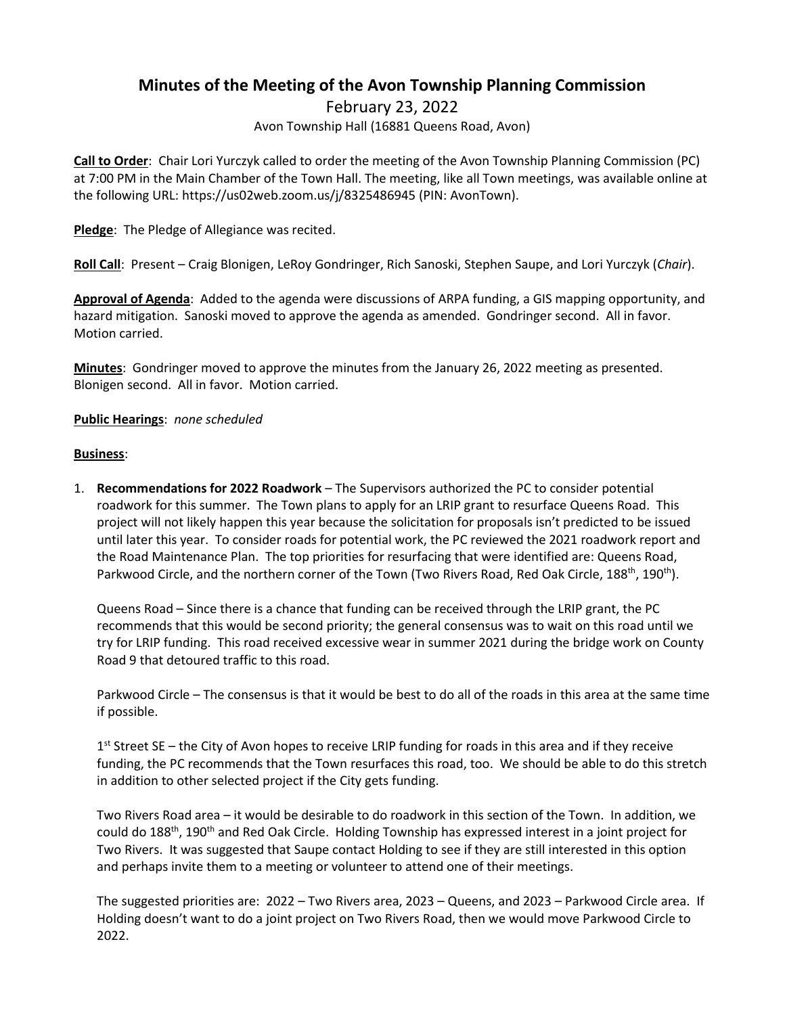## **Minutes of the Meeting of the Avon Township Planning Commission**

February 23, 2022

Avon Township Hall (16881 Queens Road, Avon)

**Call to Order**: Chair Lori Yurczyk called to order the meeting of the Avon Township Planning Commission (PC) at 7:00 PM in the Main Chamber of the Town Hall. The meeting, like all Town meetings, was available online at the following URL: https://us02web.zoom.us/j/8325486945 (PIN: AvonTown).

**Pledge**: The Pledge of Allegiance was recited.

**Roll Call**: Present – Craig Blonigen, LeRoy Gondringer, Rich Sanoski, Stephen Saupe, and Lori Yurczyk (*Chair*).

**Approval of Agenda**: Added to the agenda were discussions of ARPA funding, a GIS mapping opportunity, and hazard mitigation. Sanoski moved to approve the agenda as amended. Gondringer second. All in favor. Motion carried.

**Minutes**: Gondringer moved to approve the minutes from the January 26, 2022 meeting as presented. Blonigen second. All in favor. Motion carried.

## **Public Hearings**: *none scheduled*

## **Business**:

1. **Recommendations for 2022 Roadwork** – The Supervisors authorized the PC to consider potential roadwork for this summer. The Town plans to apply for an LRIP grant to resurface Queens Road. This project will not likely happen this year because the solicitation for proposals isn't predicted to be issued until later this year. To consider roads for potential work, the PC reviewed the 2021 roadwork report and the Road Maintenance Plan. The top priorities for resurfacing that were identified are: Queens Road, Parkwood Circle, and the northern corner of the Town (Two Rivers Road, Red Oak Circle, 188<sup>th</sup>, 190<sup>th</sup>).

Queens Road – Since there is a chance that funding can be received through the LRIP grant, the PC recommends that this would be second priority; the general consensus was to wait on this road until we try for LRIP funding. This road received excessive wear in summer 2021 during the bridge work on County Road 9 that detoured traffic to this road.

Parkwood Circle – The consensus is that it would be best to do all of the roads in this area at the same time if possible.

1<sup>st</sup> Street SE – the City of Avon hopes to receive LRIP funding for roads in this area and if they receive funding, the PC recommends that the Town resurfaces this road, too. We should be able to do this stretch in addition to other selected project if the City gets funding.

Two Rivers Road area – it would be desirable to do roadwork in this section of the Town. In addition, we could do 188<sup>th</sup>, 190<sup>th</sup> and Red Oak Circle. Holding Township has expressed interest in a joint project for Two Rivers. It was suggested that Saupe contact Holding to see if they are still interested in this option and perhaps invite them to a meeting or volunteer to attend one of their meetings.

The suggested priorities are: 2022 – Two Rivers area, 2023 – Queens, and 2023 – Parkwood Circle area. If Holding doesn't want to do a joint project on Two Rivers Road, then we would move Parkwood Circle to 2022.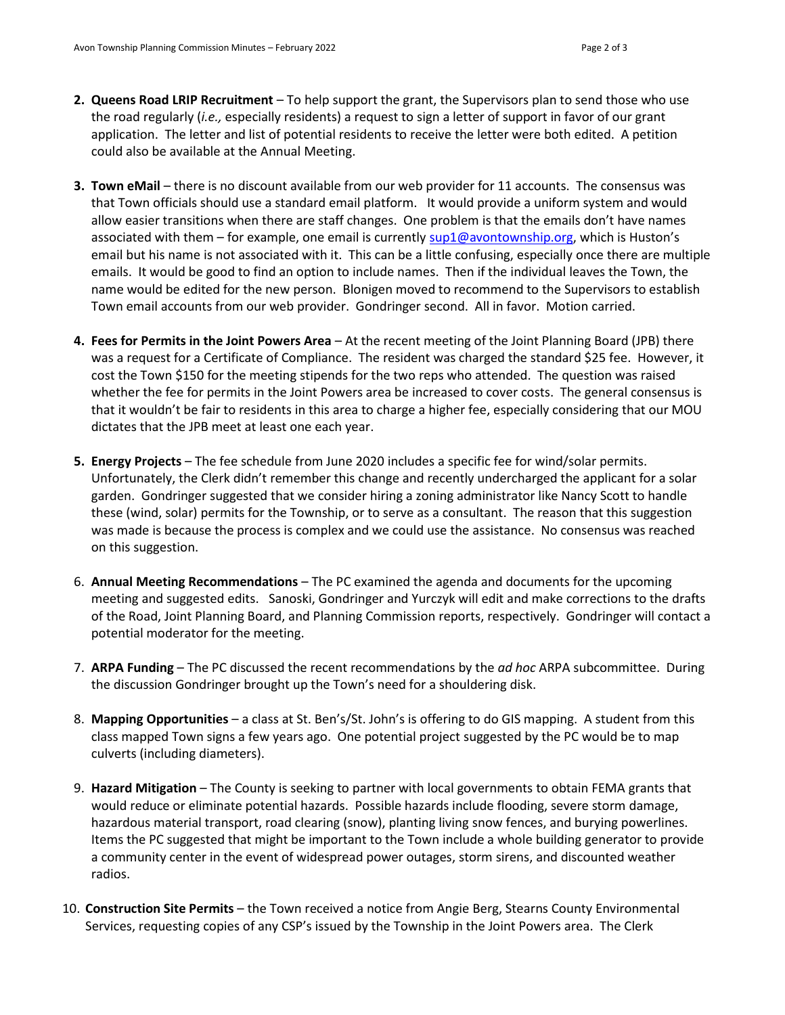- **2. Queens Road LRIP Recruitment** To help support the grant, the Supervisors plan to send those who use the road regularly (*i.e.,* especially residents) a request to sign a letter of support in favor of our grant application. The letter and list of potential residents to receive the letter were both edited. A petition could also be available at the Annual Meeting.
- **3. Town eMail**  there is no discount available from our web provider for 11 accounts. The consensus was that Town officials should use a standard email platform. It would provide a uniform system and would allow easier transitions when there are staff changes. One problem is that the emails don't have names associated with them – for example, one email is currently [sup1@avontownship.org](mailto:sup1@avontownship.org), which is Huston's email but his name is not associated with it. This can be a little confusing, especially once there are multiple emails. It would be good to find an option to include names. Then if the individual leaves the Town, the name would be edited for the new person. Blonigen moved to recommend to the Supervisors to establish Town email accounts from our web provider. Gondringer second. All in favor. Motion carried.
- **4. Fees for Permits in the Joint Powers Area** At the recent meeting of the Joint Planning Board (JPB) there was a request for a Certificate of Compliance. The resident was charged the standard \$25 fee. However, it cost the Town \$150 for the meeting stipends for the two reps who attended. The question was raised whether the fee for permits in the Joint Powers area be increased to cover costs. The general consensus is that it wouldn't be fair to residents in this area to charge a higher fee, especially considering that our MOU dictates that the JPB meet at least one each year.
- **5. Energy Projects** The fee schedule from June 2020 includes a specific fee for wind/solar permits. Unfortunately, the Clerk didn't remember this change and recently undercharged the applicant for a solar garden. Gondringer suggested that we consider hiring a zoning administrator like Nancy Scott to handle these (wind, solar) permits for the Township, or to serve as a consultant. The reason that this suggestion was made is because the process is complex and we could use the assistance. No consensus was reached on this suggestion.
- 6. **Annual Meeting Recommendations**  The PC examined the agenda and documents for the upcoming meeting and suggested edits. Sanoski, Gondringer and Yurczyk will edit and make corrections to the drafts of the Road, Joint Planning Board, and Planning Commission reports, respectively. Gondringer will contact a potential moderator for the meeting.
- 7. **ARPA Funding** The PC discussed the recent recommendations by the *ad hoc* ARPA subcommittee. During the discussion Gondringer brought up the Town's need for a shouldering disk.
- 8. **Mapping Opportunities** a class at St. Ben's/St. John's is offering to do GIS mapping. A student from this class mapped Town signs a few years ago. One potential project suggested by the PC would be to map culverts (including diameters).
- 9. **Hazard Mitigation** The County is seeking to partner with local governments to obtain FEMA grants that would reduce or eliminate potential hazards. Possible hazards include flooding, severe storm damage, hazardous material transport, road clearing (snow), planting living snow fences, and burying powerlines. Items the PC suggested that might be important to the Town include a whole building generator to provide a community center in the event of widespread power outages, storm sirens, and discounted weather radios.
- 10. **Construction Site Permits**  the Town received a notice from Angie Berg, Stearns County Environmental Services, requesting copies of any CSP's issued by the Township in the Joint Powers area. The Clerk